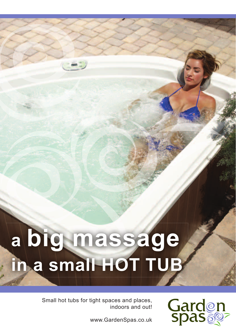# **a big massage in a small HOT TUB**

Small hot tubs for tight spaces and places, indoors and out!



www.GardenSpas.co.uk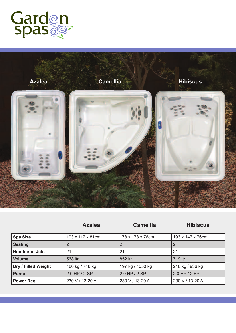



|                       | <b>Azalea</b>    | <b>Camellia</b>  | <b>Hibiscus</b>  |
|-----------------------|------------------|------------------|------------------|
| <b>Spa Size</b>       | 193 x 117 x 81cm | 178 x 178 x 76cm | 193 x 147 x 76cm |
| <b>Seating</b>        |                  |                  |                  |
| <b>Number of Jets</b> | 21               | 21               | 21               |
| <b>Volume</b>         | 568 ltr          | 852 ltr          | 719 ltr          |
| Dry / Filled Weight   | 180 kg / 748 kg  | 197 kg / 1050 kg | 216 kg / 936 kg  |
| Pump                  | 2.0 HP / 2 SP    | 2.0 HP / 2 SP    | 2.0 HP / 2 SP    |
| Power Req.            | 230 V / 13-20 A  | 230 V / 13-20 A  | 230 V / 13-20 A  |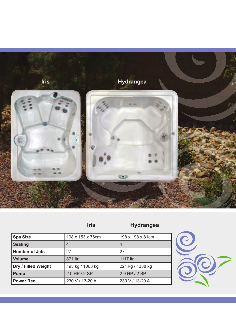

# **Iris Hydrangea**

| <b>Spa Size</b>       | 198 x 153 x 76cm | 198 x 198 x 81cm |
|-----------------------|------------------|------------------|
| <b>Seating</b>        | $\overline{4}$   | $\overline{4}$   |
| <b>Number of Jets</b> | 27               | 27               |
| <b>Volume</b>         | 871 ltr          | 1117 ltr         |
| Dry / Filled Weight   | 193 kg / 1063 kg | 221 kg / 1338 kg |
| <b>Pump</b>           | 2.0 HP / 2 SP    | 2.0 HP / 2 SP    |
| Power Req.            | 230 V / 13-20 A  | 230 V / 13-20 A  |